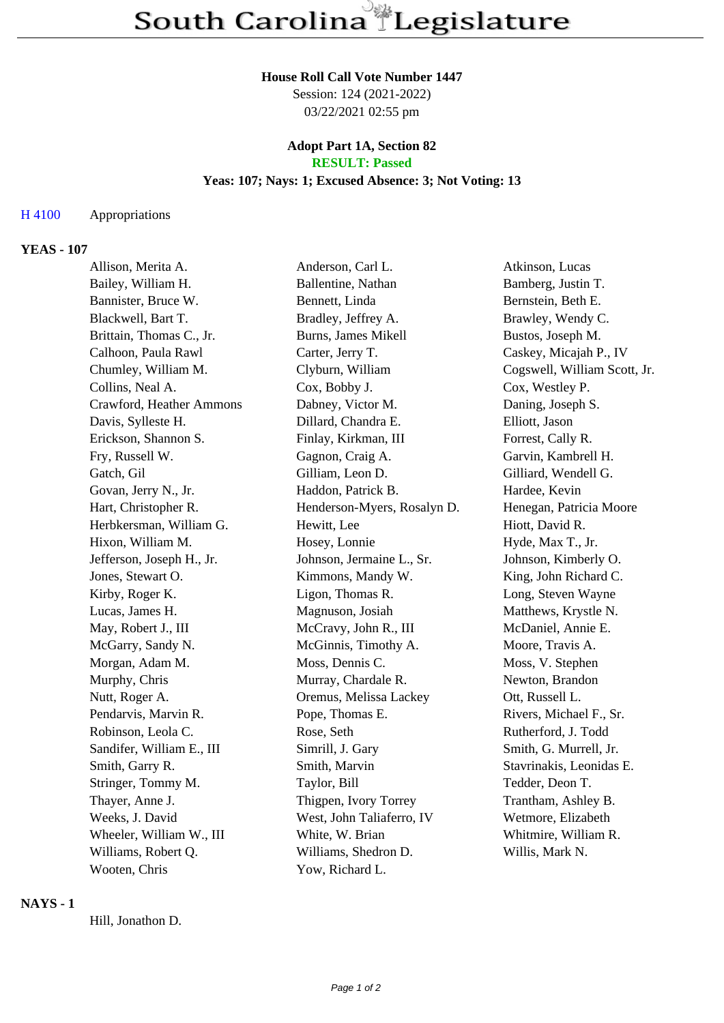## **House Roll Call Vote Number 1447**

Session: 124 (2021-2022) 03/22/2021 02:55 pm

#### **Adopt Part 1A, Section 82 RESULT: Passed**

# **Yeas: 107; Nays: 1; Excused Absence: 3; Not Voting: 13**

#### H 4100 Appropriations

#### **YEAS - 107**

| Allison, Merita A.        | Anderson, Carl L.           | Atkinson, Lucas              |
|---------------------------|-----------------------------|------------------------------|
| Bailey, William H.        | Ballentine, Nathan          | Bamberg, Justin T.           |
| Bannister, Bruce W.       | Bennett, Linda              | Bernstein, Beth E.           |
| Blackwell, Bart T.        | Bradley, Jeffrey A.         | Brawley, Wendy C.            |
| Brittain, Thomas C., Jr.  | <b>Burns, James Mikell</b>  | Bustos, Joseph M.            |
| Calhoon, Paula Rawl       | Carter, Jerry T.            | Caskey, Micajah P., IV       |
| Chumley, William M.       | Clyburn, William            | Cogswell, William Scott, Jr. |
| Collins, Neal A.          | Cox, Bobby J.               | Cox, Westley P.              |
| Crawford, Heather Ammons  | Dabney, Victor M.           | Daning, Joseph S.            |
| Davis, Sylleste H.        | Dillard, Chandra E.         | Elliott, Jason               |
| Erickson, Shannon S.      | Finlay, Kirkman, III        | Forrest, Cally R.            |
| Fry, Russell W.           | Gagnon, Craig A.            | Garvin, Kambrell H.          |
| Gatch, Gil                | Gilliam, Leon D.            | Gilliard, Wendell G.         |
| Govan, Jerry N., Jr.      | Haddon, Patrick B.          | Hardee, Kevin                |
| Hart, Christopher R.      | Henderson-Myers, Rosalyn D. | Henegan, Patricia Moore      |
| Herbkersman, William G.   | Hewitt, Lee                 | Hiott, David R.              |
| Hixon, William M.         | Hosey, Lonnie               | Hyde, Max T., Jr.            |
| Jefferson, Joseph H., Jr. | Johnson, Jermaine L., Sr.   | Johnson, Kimberly O.         |
| Jones, Stewart O.         | Kimmons, Mandy W.           | King, John Richard C.        |
| Kirby, Roger K.           | Ligon, Thomas R.            | Long, Steven Wayne           |
| Lucas, James H.           | Magnuson, Josiah            | Matthews, Krystle N.         |
| May, Robert J., III       | McCravy, John R., III       | McDaniel, Annie E.           |
| McGarry, Sandy N.         | McGinnis, Timothy A.        | Moore, Travis A.             |
| Morgan, Adam M.           | Moss, Dennis C.             | Moss, V. Stephen             |
| Murphy, Chris             | Murray, Chardale R.         | Newton, Brandon              |
| Nutt, Roger A.            | Oremus, Melissa Lackey      | Ott, Russell L.              |
| Pendarvis, Marvin R.      | Pope, Thomas E.             | Rivers, Michael F., Sr.      |
| Robinson, Leola C.        | Rose, Seth                  | Rutherford, J. Todd          |
| Sandifer, William E., III | Simrill, J. Gary            | Smith, G. Murrell, Jr.       |
| Smith, Garry R.           | Smith, Marvin               | Stavrinakis, Leonidas E.     |
| Stringer, Tommy M.        | Taylor, Bill                | Tedder, Deon T.              |
| Thayer, Anne J.           | Thigpen, Ivory Torrey       | Trantham, Ashley B.          |
| Weeks, J. David           | West, John Taliaferro, IV   | Wetmore, Elizabeth           |
| Wheeler, William W., III  | White, W. Brian             | Whitmire, William R.         |
| Williams, Robert Q.       | Williams, Shedron D.        | Willis, Mark N.              |
| Wooten, Chris             | Yow, Richard L.             |                              |

## **NAYS - 1**

Hill, Jonathon D.